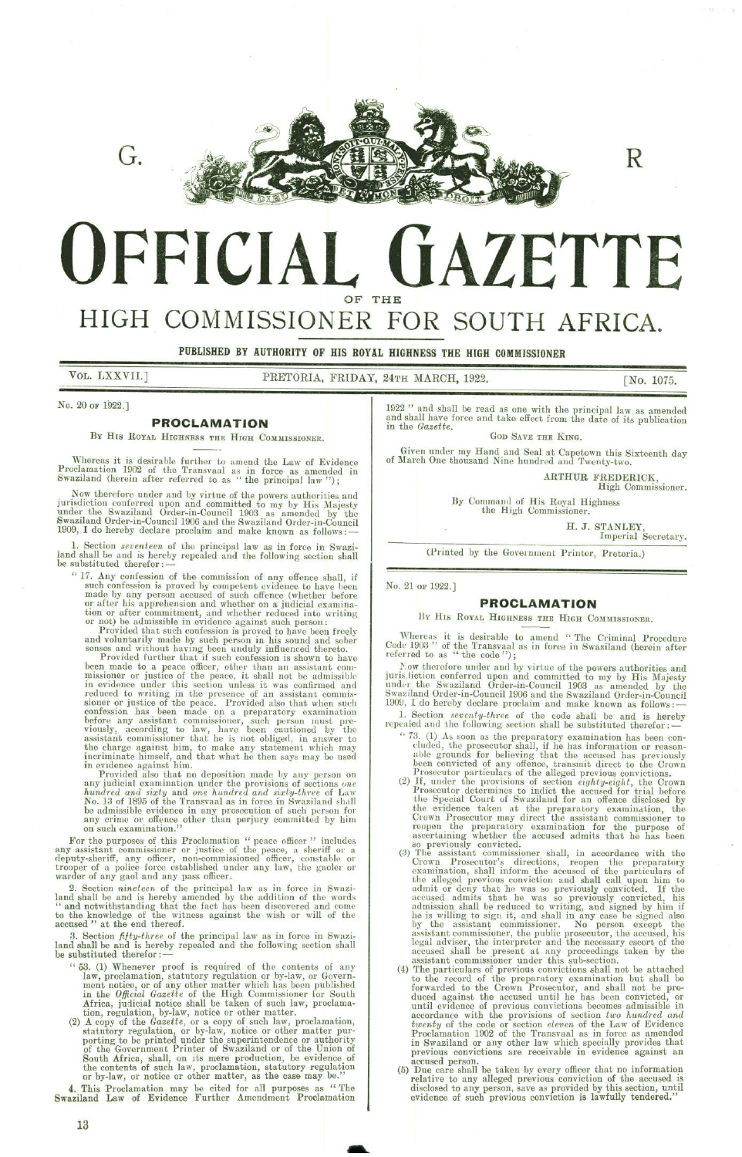

R

# QFFICIAL OF THE GAZETTE ONER FOR SOUTH FOR SOUTH<br>
HIGHNESS THE HIGH COMMISS<br>
PATH MARCH, 1922.<br>
1922 " and shall be read as one w<br>
and shall have force and take effect<br>
in the *Gazette*.<br>
Gop Save<br>
Given under my Hand and Sea<br>
of March One thousand Nine hund<br>
B

# HIGH COMMISSIONER FOR SOUTH AFRICA.

PUBLISHED BY AUTHORITY OF HIS ROYAL HIGHNESS THE HIGH COMMISSIONER

VOL. LXXVII.] PRETORIA, FRIDAY, 24TH MARCH, 1922.

[No. 1075.

No. 20 or 1922.]

## PROCLAMATION

BY HIS ROYAL HIGHNESS THE HIGH COMMISSIONER.

Whereas it is desirable further to amend the Law of Evidence Proclamation 1902 of the Transvaal as in force as amended in Swaziland (herein after referred to as " the principal law ");

Now therefore under and by virtue of the powers authorities and<br>jurisdiction conferred upon and committed to my by His Majesty<br>under the Swaziland Order-in-Council 1903 as amended by the<br>Swaziland Order-in-Council 1906 and

1. Section *seventeen* of the principal law as in force in Swazi iand shall be and is hereby repealed and the following section shall be substituted therefor : —

"17. Any confession of the commission of any offence shall, if such confession is proved by competent evidence to have been made by any person accused of such offence (whether before or after his apprehension and whether on a judicial examina-tion or after commitment, and whether reduced into writing or not) be admissible in evidence against such person:

Provided that such confession is proved to have been freely and voluntarily made by such person in his sound and sober senses and without having been unduly influenced thereto. Provided further that if such confession is shown to have

been made to a peace officer, other than an assistant commissioner or justice of the peace, it shall not be admissible in evidence under this section unless it was confirmed and<br>reduced to writing in the presence of an assistant commis-<br>sioner or justice of the peace. Provided also that when such<br>confession has been made on a preparatory e before any assistant commissioner, such person must pre- viously, according to law, have been cautioned by the assistant commissioner that he is not obliged, in answer to the charge against him, to make any statement which may incriminate himself, and that what he then says may be used in evidence against him. Provided also that no deposition made by any person on

any judicial examination under the provisions of sections one hundred and sixty and one hundred and siaty-three of Law No. 18 of 1895 of the Transvaal as in force in Swaziland shall be admissible evidence in any prosecution of such person for any crime or offence other than perjury committed by him on such examination."'

For the purposes of this Proclamation " peace officer " includes any assistant commissioner or justice of the peace, a sheriff or a deputy-sheriff, any officer, non-commissioned officer, constable or trooper of a police force established under any law, the gaoler or warder of any gaol and any pass officer.

2. Section *nineteen* of the principal law as in force in Swazi-<br>land shall be and is hereby amended by the addition of the words<br>"and notwithstanding that the fact has been discovered and come to the knowledge of the witness against the wish or will of the accused "' at the end thereof.

3. Section *fifty-three* of the principal law as in force in Swazi land shall be and is hereby repealed and the following section shall be substituted therefor : —

- '68. (1) Whenever proof is required of the contents of any law, proclamation, statutory regulation or by-law, or Government notice, or of any other matter which has been published<br>in the Official Gazette of the High Commissioner for South Africa, judicial notice shall be taken of such law, proclamation, regulation, by-law, notice or other matter. . (2) A copy of the Gazette, or a copy of such law, proclamation,
- no deposition made by any person on<br>on under the provisions of sections one<br>of a one hundred and sixty-three of Law<br>Iransval as in force in Swaziland shall<br>in any prosecution of such person for<br>other than perjury committed statutory regulation, or by-law, notice or other matter pur-<br>porting to be printed under the superintendence or authority<br>of the Government Printer of Swaziland or of the Union of<br>South Africa, shall, on its mere productio the contents of such law, proclamation, statutory regulation or by-law, or notice or other matter, as the case may be."'

4, This Proclamation may be cited for all purposes as '' The Swaziland Law of Evidence Further Amendment Proclamation

<sup>1922</sup>'' and shall be read as one with the principal law as amended and shall have force and take effect from the date of its publication in the Gazette. GOD SAVE THE KING.

Given under my Hand and Seal at Capetown this Sixteenth day of March One thousand Nine hundred and Twenty-two.

ARTHUR FREDERICK, High Commissioner.

By Command of His Royal Highness<br>the High Commissioner.

H. J. STANLEY, Imperial Secretary.

(Printed by the Government Printer, Pretoria.)

No. 21 or 1922.]

## PROCLAMATION

#### BY HIS ROYAL HIGHNESS THE HIGH COMMISSIONER.

Whereas it is desirable to amend "The Criminal Procedure Code 1903" of the Transvaal as in force in Swaziland (herein after referred to as " the code");

Now therefore under and by virtue of the powers authorities and<br>juris liction conferred upon and committed to my by His Majesty<br>under the Swaziland Order-in-Council 1903 as amended by the<br>Swaziland Order-in-Council 1906 an

1. Section *seventy-three* of the code shall be and is hereby repealed and the following section shall be substituted therefor :

- '73. (1) As soon as the preparatory examination has been con- cluded, the prosecutor shall, if he has information or reasonable grounds for believing that the accused has previously been convicted of any offence, transmit direct to the Crown Prosecutor particulars of the alleged previous convictions.<br>(2) If, under the provisions of section *eighty-eight*, the Crown
- Prosecutor determines to indict the accused for trial before the Special Court of Swaziland for an offence disclosed by the evidence taken at the preparatory examination, the Crown Prosecutor may direct the assistant commissioner to<br>reopen the preparatory examination for the purpose of<br>ascertaining whether the accused admits that he has been<br>so previously convicted.<br>(3) The assistant commission
- the alleged previous conviction and shall call upon him to admit or deny that 'he was so previously convicted. Tf the accused admits that he was so previously convicted, his admission shall be reduced to writing, and signed by him if he is willing to sign it, and shall in any case be signed also by the assistant commissioner. No person except the assistant commissioner, the public prosecutor, the accused, his legal adviser, the interpreter and the necessary escort of the accused shall be present at any proceedings taken by the assistant commissioner under this sub-section.
- (4) The particulars of previous convictions shall not be attached to the record of the preparatory examination but shall be forwarded to the Crown Prosecutor, and shall not be produced against the accused until he has been convicted, or until evidence of previous convictions becomes admissible in accordance with the provisions of section two hundred and twenty of the code or section eleven of the Law of Evidence Proclamation 1902 of the Transvaal as in force as amended in Swaziland or any other law which specially provides that previous convictions are receivable in evidence against an accused person.<br>(5) Due care shall be taken by every officer that no information
- relative to any alleged previous conviction of the accused is disclosed to any person, save as provided by this section, until evidence of such previous conviction is lawfully tendered."

the contract of the contract of the contract of the contract of the contract of the contract of the contract of

13